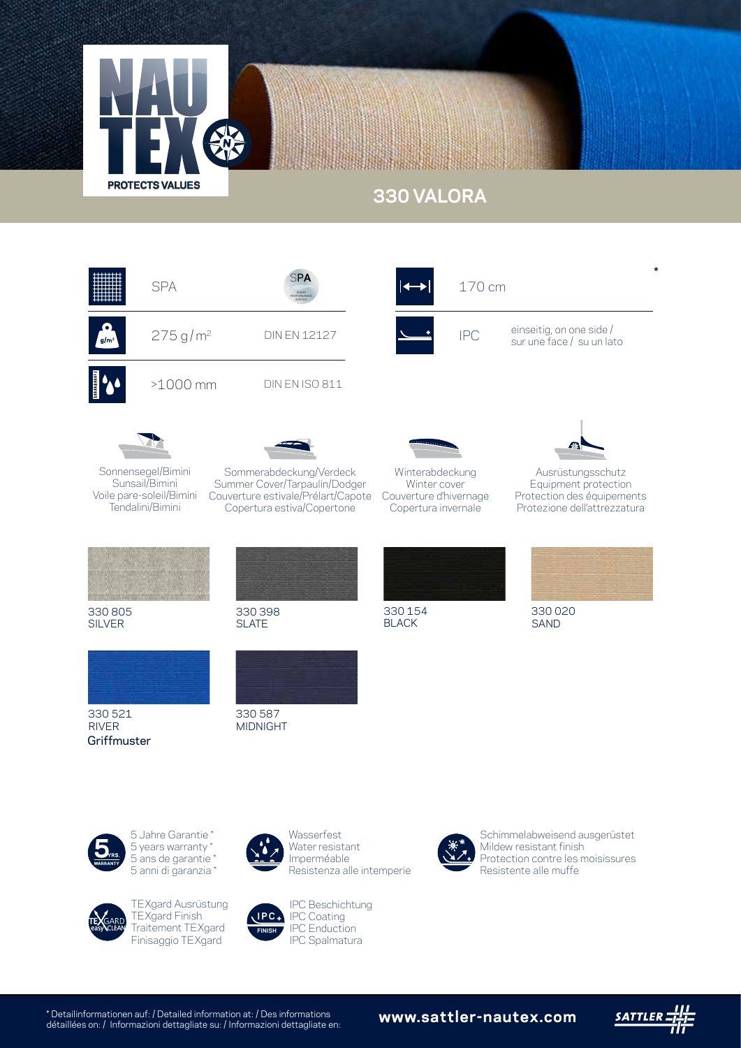

## **330 VALORA**



\* Detailinformationen auf: / Detailed information at: / Des informations détaillées on: / Informazioni dettagliate su: / Informazioni dettagliate en: **www.sattler-nautex.com**

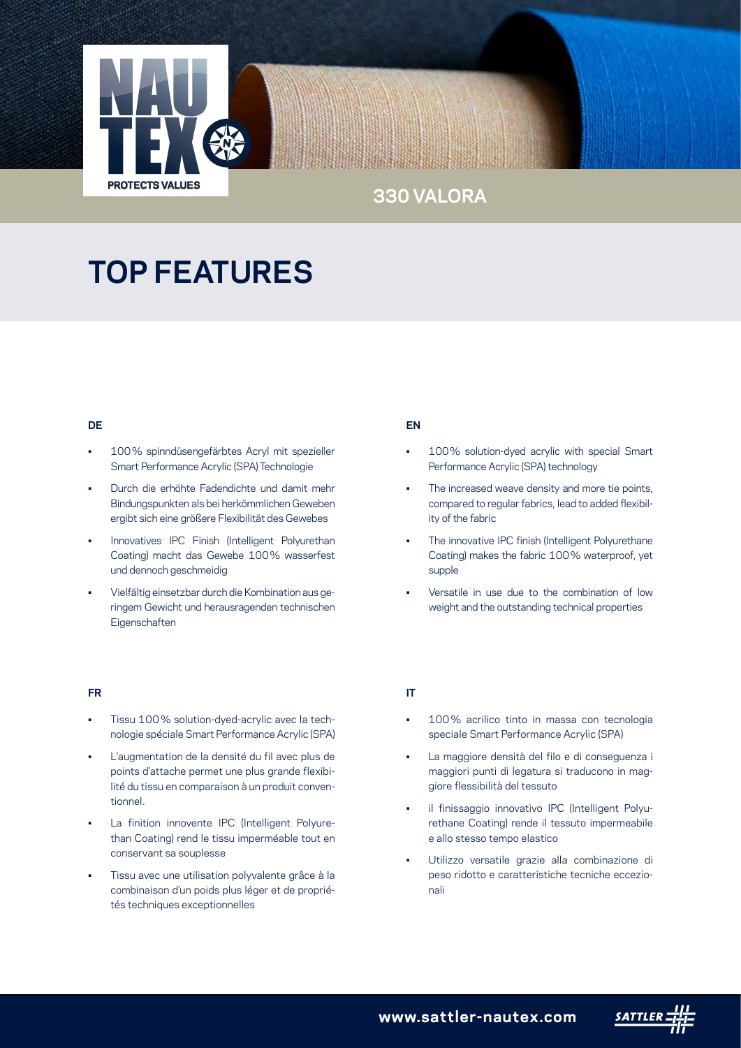

### **330 VALORA**

# **TOP FEATURES**

#### **DE**

- 100% spinndüsengefärbtes Acryl mit spezieller Smart Performance Acrylic (SPA) Technologie
- Durch die erhöhte Fadendichte und damit mehr Bindungspunkten als bei herkömmlichen Geweben ergibt sich eine größere Flexibilität des Gewebes
- Innovatives IPC Finish (Intelligent Polyurethan Coating) macht das Gewebe 100% wasserfest und dennoch geschmeidig
- Vielfältig einsetzbar durch die Kombination aus geringem Gewicht und herausragenden technischen Eigenschaften

#### **FR**

- Tissu 100% solution-dyed-acrylic avec la technologie spéciale Smart Performance Acrylic (SPA)
- L'augmentation de la densité du fil avec plus de points d'attache permet une plus grande flexibilité du tissu en comparaison à un produit conventionnel.
- La finition innovente IPC (Intelligent Polyurethan Coating) rend le tissu imperméable tout en conservant sa souplesse
- Tissu avec une utilisation polyvalente grâce à la combinaison d'un poids plus léger et de propriétés techniques exceptionnelles

#### **EN**

- 100% solution-dyed acrylic with special Smart Performance Acrylic (SPA) technology
- The increased weave density and more tie points, compared to regular fabrics, lead to added flexibility of the fabric
- The innovative IPC finish (Intelligent Polyurethane Coating) makes the fabric 100% waterproof, yet supple
- Versatile in use due to the combination of low weight and the outstanding technical properties

#### **IT**

- 100% acrilico tinto in massa con tecnologia speciale Smart Performance Acrylic (SPA)
- La maggiore densità del filo e di conseguenza i maggiori punti di legatura si traducono in maggiore flessibilità del tessuto
- il finissaggio innovativo IPC (Intelligent Polyurethane Coating) rende il tessuto impermeabile e allo stesso tempo elastico
- Utilizzo versatile grazie alla combinazione di peso ridotto e caratteristiche tecniche eccezionali